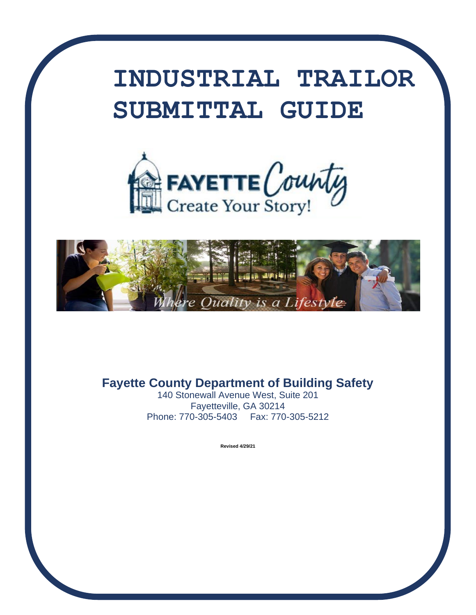# **INDUSTRIAL TRAILOR SUBMITTAL GUIDE**





**Fayette County Department of Building Safety**

140 Stonewall Avenue West, Suite 201 Fayetteville, GA 30214 Phone: 770-305-5403 Fax: 770-305-5212

 **Revised 4/29/21**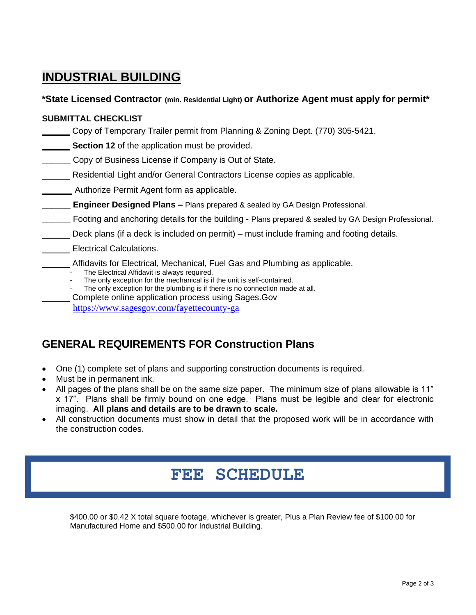## **INDUSTRIAL BUILDING**

#### **\*State Licensed Contractor (min. Residential Light) or Authorize Agent must apply for permit\***

#### **SUBMITTAL CHECKLIST**

Copy of Temporary Trailer permit from Planning & Zoning Dept. (770) 305-5421.

**Section 12** of the application must be provided.

**Copy of Business License if Company is Out of State.** 

Residential Light and/or General Contractors License copies as applicable.

Authorize Permit Agent form as applicable.

**Engineer Designed Plans –** Plans prepared & sealed by GA Design Professional.

**\_\_\_\_\_\_** Footing and anchoring details for the building - Plans prepared & sealed by GA Design Professional.

Deck plans (if a deck is included on permit) – must include framing and footing details.

#### Electrical Calculations.

- Affidavits for Electrical, Mechanical, Fuel Gas and Plumbing as applicable.
	- The Electrical Affidavit is always required.
	- The only exception for the mechanical is if the unit is self-contained.
	- The only exception for the plumbing is if there is no connection made at all.

Complete online application process using Sages.Gov

<https://www.sagesgov.com/fayettecounty-ga>

### **GENERAL REQUIREMENTS FOR Construction Plans**

- One (1) complete set of plans and supporting construction documents is required.
- Must be in permanent ink.
- All pages of the plans shall be on the same size paper. The minimum size of plans allowable is 11" x 17". Plans shall be firmly bound on one edge. Plans must be legible and clear for electronic imaging. **All plans and details are to be drawn to scale.**
- All construction documents must show in detail that the proposed work will be in accordance with the construction codes.

## **FEE SCHEDULE**

\$400.00 or \$0.42 X total square footage, whichever is greater, Plus a Plan Review fee of \$100.00 for Manufactured Home and \$500.00 for Industrial Building.